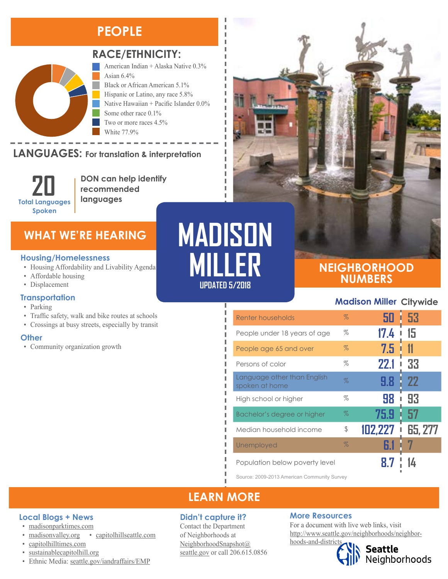# **PEOPLE**



## **RACE/ETHNICITY:**

American Indian + Alaska Native 0.3% Asian 6.4% Black or African American 5.1% Hispanic or Latino, any race 5.8% Native Hawaiian + Pacific Islander 0.0% Some other race 0.1% Two or more races 4.5%

White 77.9%

## LANGUAGES: For translation & interpretation



**DON can help identify recommended languages**

# **WHAT WE'RE HEARING**

#### **Housing/Homelessness**

- Housing Affordability and Livability Agenda
- Affordable housing
- Displacement

### **Transportation**

- Parking
- Traffic safety, walk and bike routes at schools
- Crossings at busy streets, especially by transit

#### **Other**

• Community organization growth

# **MADISON MILLER UPDATED 5/2018**

Л

## **NEIGHBORHOOD NUMBERS**

## **Madison Miller Citywide**

| Renter households                             | $\%$ | 50          | 53             |
|-----------------------------------------------|------|-------------|----------------|
| People under 18 years of age                  | %    | 17.4        | -15            |
| People age 65 and over                        | %    | 7.5         |                |
| Persons of color                              | %    | <b>22.1</b> | 33<br>I        |
| Language other than English<br>spoken at home | $\%$ | 9.8         | 22             |
| High school or higher                         | %    | 98          | 93<br>I        |
| Bachelor's degree or higher                   | $\%$ | 75.9        | 57             |
| Median household income                       | \$   | 102,227     | <b>65, 277</b> |
| Unemployed                                    | $\%$ | 6.1         |                |
| Population below poverty level                |      |             |                |

Source: 2009-2013 American Community Survey

# **LEARN MORE**

### **Didn't capture it?**

Contact the Department of Neighborhoods at [NeighborhoodSnapshot@](mailto:NeighborhoodSnapshot%40%0Aseattle.gov?subject=) [seattle.gov](mailto:NeighborhoodSnapshot%40%0Aseattle.gov?subject=) or call 206.615.0856

### **More Resources**

For a document with live web links, visit [http://www.seattle.gov/neighborhoods/neighbor](http://www.seattle.gov/neighborhoods/neighborhoods-and-districts)-

# [hoods-and-districts](http://www.seattle.gov/neighborhoods/neighborhoods-and-districts)



• [sustainablecapitolhill.org](https://sustainablecapitolhill.org/) • Ethnic Media: [seattle.gov/iandraffairs/EMP](http://www.seattle.gov/iandraffairs/EMP)

• [madisonvalley.org](http://madisonvalley.org/) • [capitolhillseattle.com](http://www.capitolhillseattle.com/)

**Local Blogs + News** • [madisonparktimes.com](http://madisonparktimes.com/)

• [capitolhilltimes.com](http://capitolhilltimes.com/)